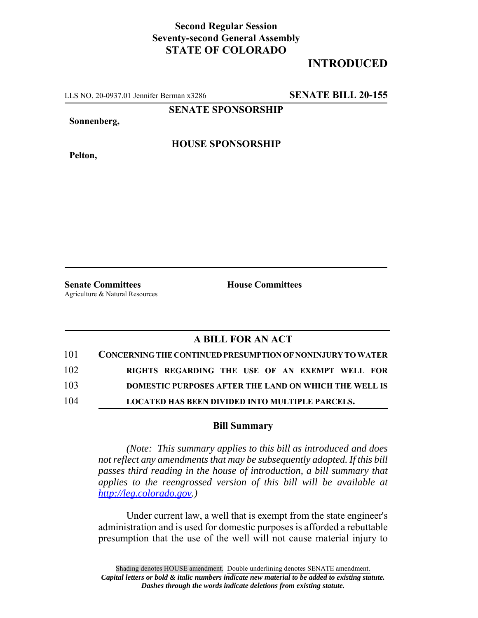# **Second Regular Session Seventy-second General Assembly STATE OF COLORADO**

# **INTRODUCED**

LLS NO. 20-0937.01 Jennifer Berman x3286 **SENATE BILL 20-155**

**SENATE SPONSORSHIP**

**Sonnenberg,**

**Pelton,**

### **HOUSE SPONSORSHIP**

**Senate Committees House Committees** Agriculture & Natural Resources

## **A BILL FOR AN ACT**

| 101 | <b>CONCERNING THE CONTINUED PRESUMPTION OF NONINJURY TO WATER</b> |
|-----|-------------------------------------------------------------------|
| 102 | RIGHTS REGARDING THE USE OF AN EXEMPT WELL FOR                    |
| 103 | DOMESTIC PURPOSES AFTER THE LAND ON WHICH THE WELL IS             |
| 104 | LOCATED HAS BEEN DIVIDED INTO MULTIPLE PARCELS.                   |

#### **Bill Summary**

*(Note: This summary applies to this bill as introduced and does not reflect any amendments that may be subsequently adopted. If this bill passes third reading in the house of introduction, a bill summary that applies to the reengrossed version of this bill will be available at http://leg.colorado.gov.)*

Under current law, a well that is exempt from the state engineer's administration and is used for domestic purposes is afforded a rebuttable presumption that the use of the well will not cause material injury to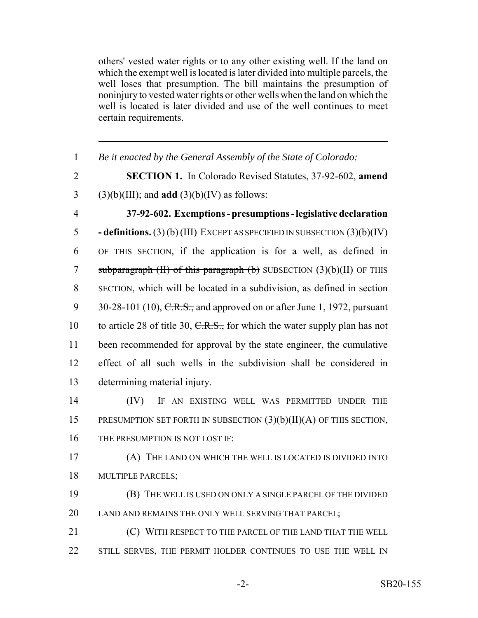others' vested water rights or to any other existing well. If the land on which the exempt well is located is later divided into multiple parcels, the well loses that presumption. The bill maintains the presumption of noninjury to vested water rights or other wells when the land on which the well is located is later divided and use of the well continues to meet certain requirements.

 *Be it enacted by the General Assembly of the State of Colorado:* **SECTION 1.** In Colorado Revised Statutes, 37-92-602, **amend** (3)(b)(III); and **add** (3)(b)(IV) as follows: **37-92-602. Exemptions - presumptions - legislative declaration - definitions.** (3) (b) (III) EXCEPT AS SPECIFIED IN SUBSECTION (3)(b)(IV) OF THIS SECTION, if the application is for a well, as defined in 7 subparagraph  $(H)$  of this paragraph  $(b)$  SUBSECTION  $(3)(b)(II)$  OF THIS SECTION, which will be located in a subdivision, as defined in section 9 30-28-101 (10),  $C.R.S.,$  and approved on or after June 1, 1972, pursuant 10 to article 28 of title 30,  $C.R.S.,$  for which the water supply plan has not been recommended for approval by the state engineer, the cumulative effect of all such wells in the subdivision shall be considered in determining material injury. (IV) IF AN EXISTING WELL WAS PERMITTED UNDER THE PRESUMPTION SET FORTH IN SUBSECTION (3)(b)(II)(A) OF THIS SECTION, 16 THE PRESUMPTION IS NOT LOST IF: (A) THE LAND ON WHICH THE WELL IS LOCATED IS DIVIDED INTO MULTIPLE PARCELS; (B) THE WELL IS USED ON ONLY A SINGLE PARCEL OF THE DIVIDED LAND AND REMAINS THE ONLY WELL SERVING THAT PARCEL; (C) WITH RESPECT TO THE PARCEL OF THE LAND THAT THE WELL 22 STILL SERVES, THE PERMIT HOLDER CONTINUES TO USE THE WELL IN